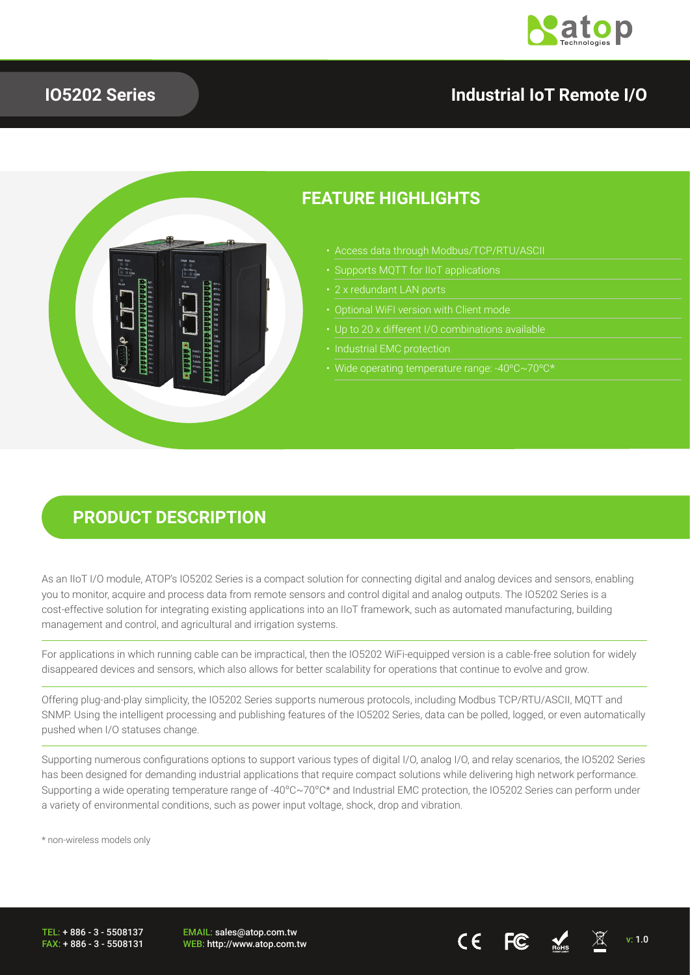

## **IO5202 Series**

## **Industrial IoT Remote I/O**



## **FEATURE HIGHLIGHTS**

- Access data through Modbus/TCP/RTU/ASCII
- 
- 
- 
- 
- 
- Wide operating temperature range: -40ºC~70ºC\*

### **PRODUCT DESCRIPTION**

As an IIoT I/O module, ATOP's IO5202 Series is a compact solution for connecting digital and analog devices and sensors, enabling you to monitor, acquire and process data from remote sensors and control digital and analog outputs. The IO5202 Series is a cost-effective solution for integrating existing applications into an IIoT framework, such as automated manufacturing, building management and control, and agricultural and irrigation systems.

For applications in which running cable can be impractical, then the IO5202 WiFi-equipped version is a cable-free solution for widely disappeared devices and sensors, which also allows for better scalability for operations that continue to evolve and grow.

Offering plug-and-play simplicity, the IO5202 Series supports numerous protocols, including Modbus TCP/RTU/ASCII, MQTT and SNMP. Using the intelligent processing and publishing features of the IO5202 Series, data can be polled, logged, or even automatically pushed when I/O statuses change.

Supporting numerous configurations options to support various types of digital I/O, analog I/O, and relay scenarios, the IO5202 Series has been designed for demanding industrial applications that require compact solutions while delivering high network performance. Supporting a wide operating temperature range of -40ºC~70ºC\* and Industrial EMC protection, the IO5202 Series can perform under a variety of environmental conditions, such as power input voltage, shock, drop and vibration.

\* non-wireless models only

TEL: + 886 - 3 - 5508137 FAX: + 886 - 3 - 5508131 EMAIL: sales@atop.com.tw

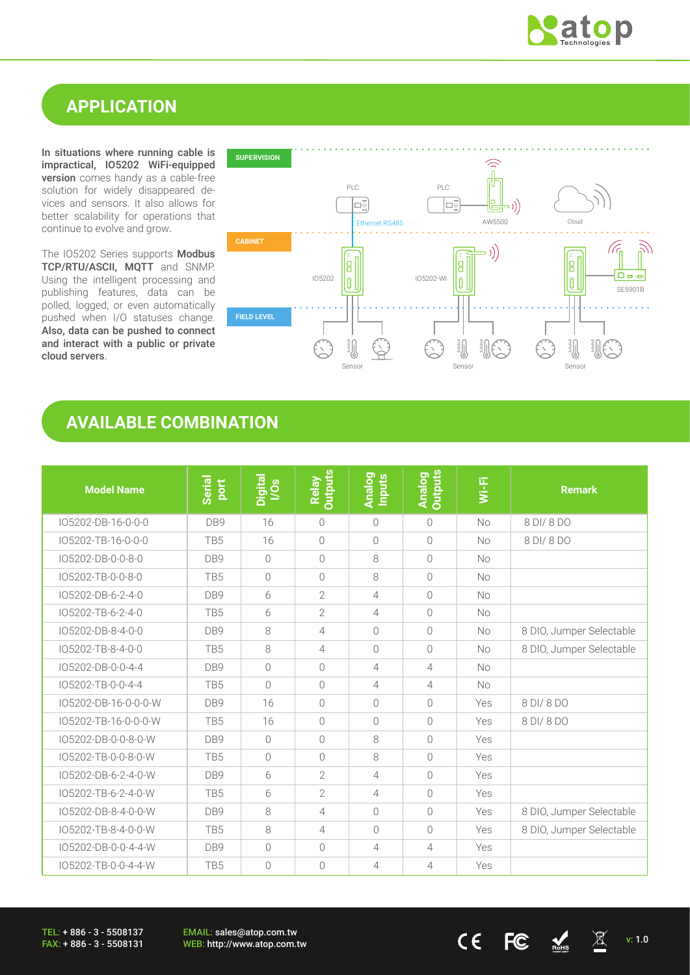

## **APPLICATION**

In situations where running cable is impractical, IO5202 WiFi-equipped version comes handy as a cable-free solution for widely disappeared devices and sensors. It also allows for better scalability for operations that continue to evolve and grow.

The IO5202 Series supports Modbus TCP/RTU/ASCII, MQTT and SNMP. Using the intelligent processing and publishing features, data can be polled, logged, or even automatically pushed when I/O statuses change. Also, data can be pushed to connect and interact with a public or private cloud servers.



## **AVAILABLE COMBINATION**

| <b>Model Name</b>    | Serial<br><b>Port</b> | Digital<br>I/Os | <b>Outputs</b><br>Relay | <b>Analog</b><br>Inputs | <b>Outputs</b><br><b>Analog</b> | Wi-Fi     | <b>Remark</b>            |
|----------------------|-----------------------|-----------------|-------------------------|-------------------------|---------------------------------|-----------|--------------------------|
| IO5202-DB-16-0-0-0   | DB9                   | 16              | $\bigcirc$              | $\bigcirc$              | $\bigcirc$                      | No        | 8 DI/8 DO                |
| IO5202-TB-16-0-0-0   | TB <sub>5</sub>       | 16              | $\overline{0}$          | $\bigcirc$              | $\bigcirc$                      | <b>No</b> | 8 DI/ 8 DO               |
| IO5202-DB-0-0-8-0    | DB <sub>9</sub>       | $\bigcap$       | $\bigcirc$              | 8                       | $\bigcap$                       | <b>No</b> |                          |
| IO5202-TB-0-0-8-0    | TB <sub>5</sub>       | $\bigcirc$      | $\bigcirc$              | 8                       | $\bigcirc$                      | <b>No</b> |                          |
| IO5202-DB-6-2-4-0    | DB9                   | 6               | $\overline{2}$          | $\overline{4}$          | $\bigcirc$                      | No        |                          |
| IO5202-TB-6-2-4-0    | TB <sub>5</sub>       | 6               | $\overline{2}$          | 4                       | $\bigcirc$                      | No        |                          |
| IO5202-DB-8-4-0-0    | DB9                   | 8               | $\overline{4}$          | $\bigcap$               | $\bigcirc$                      | <b>No</b> | 8 DIO, Jumper Selectable |
| IO5202-TB-8-4-0-0    | TB5                   | 8               | 4                       | $\bigcap$               | $\bigcirc$                      | No        | 8 DIO, Jumper Selectable |
| IO5202-DB-0-0-4-4    | DB9                   | $\bigcirc$      | $\bigcirc$              | 4                       | $\overline{4}$                  | <b>No</b> |                          |
| IO5202-TB-0-0-4-4    | TB <sub>5</sub>       | $\bigcirc$      | $\bigcirc$              | $\overline{4}$          | $\overline{4}$                  | <b>No</b> |                          |
| IO5202-DB-16-0-0-0-W | DB <sub>9</sub>       | 16              | $\bigcap$               | $\bigcap$               | $\bigcap$                       | Yes       | 8 DI/ 8 DO               |
| IO5202-TB-16-0-0-0-W | TB <sub>5</sub>       | 16              | $\bigcirc$              | $\bigcap$               | $\bigcap$                       | Yes       | 8 DI/ 8 DO               |
| IO5202-DB-0-0-8-0-W  | DB9                   | $\overline{0}$  | $\sqrt{a}$              | 8                       | $\bigcap$                       | Yes       |                          |
| IO5202-TB-0-0-8-0-W  | TB <sub>5</sub>       | $\bigcap$       | $\bigcirc$              | 8                       | $\bigcap$                       | Yes       |                          |
| IO5202-DB-6-2-4-0-W  | DB9                   | 6               | $\overline{2}$          | $\overline{4}$          | $\bigcap$                       | Yes       |                          |
| IO5202-TB-6-2-4-0-W  | TB5                   | 6               | $\overline{2}$          | $\overline{4}$          | $\bigcap$                       | Yes       |                          |
| IO5202-DB-8-4-0-0-W  | DB9                   | 8               | 4                       | $\bigcap$               | $\bigcap$                       | Yes       | 8 DIO, Jumper Selectable |
| IO5202-TB-8-4-0-0-W  | TB <sub>5</sub>       | 8               | $\overline{4}$          | $\bigcap$               | $\bigcap$                       | Yes       | 8 DIO, Jumper Selectable |
| IO5202-DB-0-0-4-4-W  | DB9                   | $\bigcirc$      | $\bigcap$               | $\overline{4}$          | 4                               | Yes       |                          |
| IO5202-TB-0-0-4-4-W  | TB <sub>5</sub>       | $\bigcirc$      | $\overline{0}$          | $\overline{4}$          | $\overline{4}$                  | Yes       |                          |

TEL: + 886 - 3 - 5508137 FAX: + 886 - 3 - 5508131 EMAIL: sales@atop.com.tw

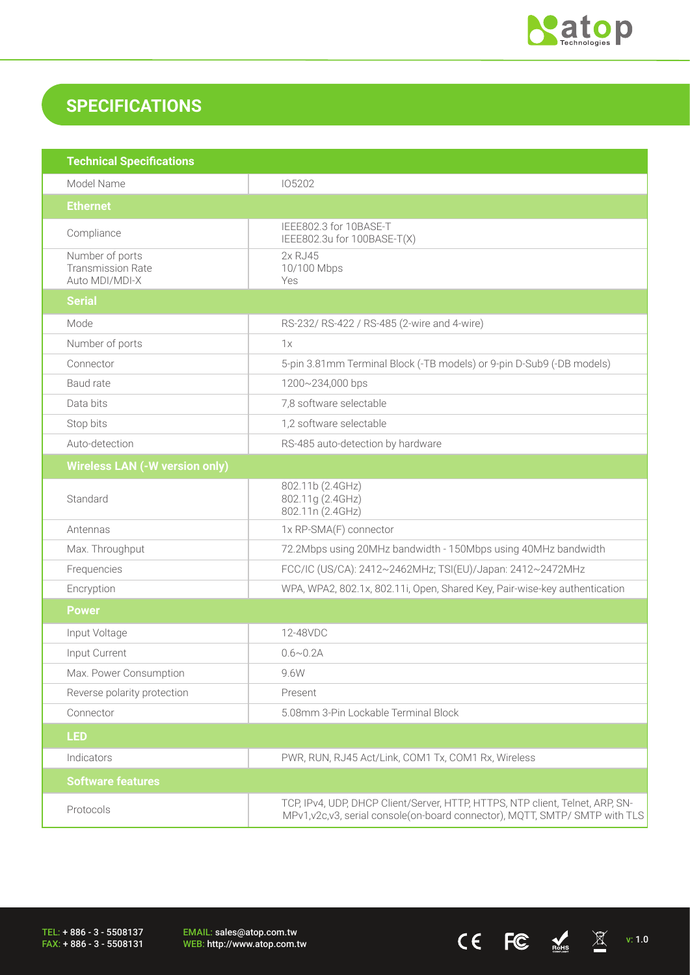

 $CE$  FC  $M_{\text{miss}}$   $\overline{\mathbb{X}}$  v: 1.0

## **SPECIFICATIONS**

| <b>Technical Specifications</b>                               |                                                                                                                                                               |
|---------------------------------------------------------------|---------------------------------------------------------------------------------------------------------------------------------------------------------------|
| Model Name                                                    | 105202                                                                                                                                                        |
| <b>Ethernet</b>                                               |                                                                                                                                                               |
| Compliance                                                    | IEEE802.3 for 10BASE-T<br>IEEE802.3u for 100BASE-T(X)                                                                                                         |
| Number of ports<br><b>Transmission Rate</b><br>Auto MDI/MDI-X | 2x RJ45<br>10/100 Mbps<br>Yes                                                                                                                                 |
| <b>Serial</b>                                                 |                                                                                                                                                               |
| Mode                                                          | RS-232/ RS-422 / RS-485 (2-wire and 4-wire)                                                                                                                   |
| Number of ports                                               | 1x                                                                                                                                                            |
| Connector                                                     | 5-pin 3.81mm Terminal Block (-TB models) or 9-pin D-Sub9 (-DB models)                                                                                         |
| Baud rate                                                     | 1200~234,000 bps                                                                                                                                              |
| Data bits                                                     | 7,8 software selectable                                                                                                                                       |
| Stop bits                                                     | 1,2 software selectable                                                                                                                                       |
| Auto-detection                                                | RS-485 auto-detection by hardware                                                                                                                             |
| <b>Wireless LAN (-W version only)</b>                         |                                                                                                                                                               |
| Standard                                                      | 802.11b (2.4GHz)<br>802.11g (2.4GHz)<br>802.11n (2.4GHz)                                                                                                      |
| Antennas                                                      | 1x RP-SMA(F) connector                                                                                                                                        |
| Max. Throughput                                               | 72.2Mbps using 20MHz bandwidth - 150Mbps using 40MHz bandwidth                                                                                                |
| Frequencies                                                   | FCC/IC (US/CA): 2412~2462MHz; TSI(EU)/Japan: 2412~2472MHz                                                                                                     |
| Encryption                                                    | WPA, WPA2, 802.1x, 802.11i, Open, Shared Key, Pair-wise-key authentication                                                                                    |
| <b>Power</b>                                                  |                                                                                                                                                               |
| Input Voltage                                                 | 12-48VDC                                                                                                                                                      |
| Input Current                                                 | $0.6 \sim 0.2$ A                                                                                                                                              |
| Max. Power Consumption                                        | 9.6W                                                                                                                                                          |
| Reverse polarity protection                                   | Present                                                                                                                                                       |
| Connector                                                     | 5.08mm 3-Pin Lockable Terminal Block                                                                                                                          |
| <b>LED</b>                                                    |                                                                                                                                                               |
| Indicators                                                    | PWR, RUN, RJ45 Act/Link, COM1 Tx, COM1 Rx, Wireless                                                                                                           |
| <b>Software features</b>                                      |                                                                                                                                                               |
| Protocols                                                     | TCP, IPv4, UDP, DHCP Client/Server, HTTP, HTTPS, NTP client, Telnet, ARP, SN-<br>MPv1, v2c, v3, serial console(on-board connector), MQTT, SMTP/ SMTP with TLS |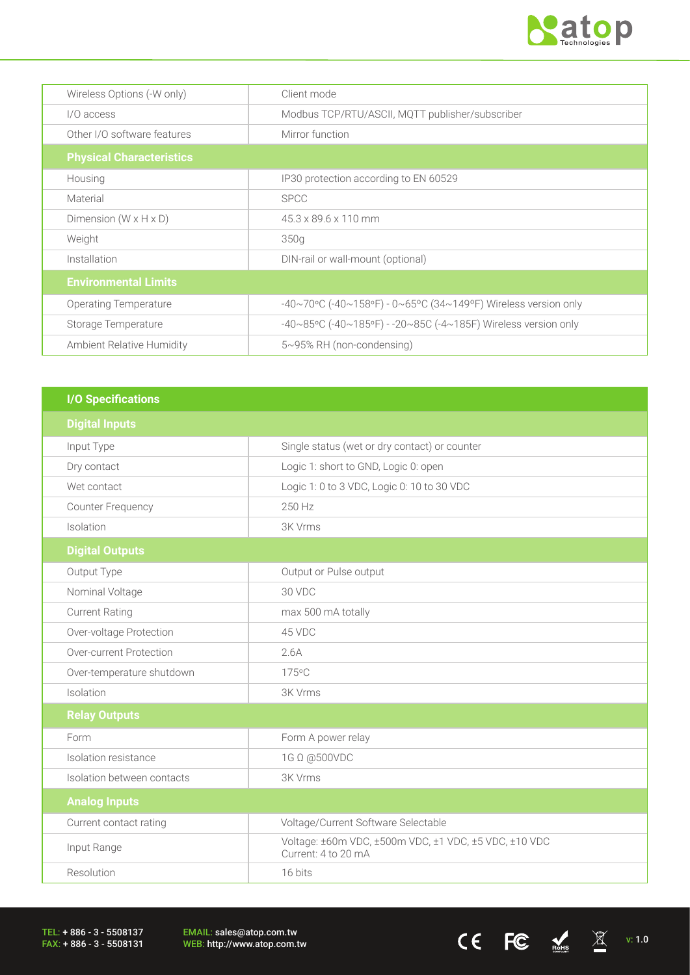

 $CE$  FC  $M_{\text{miss}}$   $\chi$  v: 1.0

| Wireless Options (-W only)          | Client mode                                                    |
|-------------------------------------|----------------------------------------------------------------|
| I/O access                          | Modbus TCP/RTU/ASCII, MQTT publisher/subscriber                |
| Other I/O software features         | Mirror function                                                |
| <b>Physical Characteristics</b>     |                                                                |
| Housing                             | IP30 protection according to EN 60529                          |
| Material                            | <b>SPCC</b>                                                    |
| Dimension ( $W \times H \times D$ ) | 45.3 x 89.6 x 110 mm                                           |
| Weight                              | 350g                                                           |
| Installation                        | DIN-rail or wall-mount (optional)                              |
| <b>Environmental Limits</b>         |                                                                |
| Operating Temperature               | -40~70°C (-40~158°F) - 0~65°C (34~149°F) Wireless version only |
| Storage Temperature                 | -40~85°C (-40~185°F) - -20~85C (-4~185F) Wireless version only |
| Ambient Relative Humidity           | $5~95\%$ RH (non-condensing)                                   |

| <b>I/O Specifications</b>  |                                                                              |
|----------------------------|------------------------------------------------------------------------------|
| <b>Digital Inputs</b>      |                                                                              |
| Input Type                 | Single status (wet or dry contact) or counter                                |
| Dry contact                | Logic 1: short to GND, Logic 0: open                                         |
| Wet contact                | Logic 1: 0 to 3 VDC, Logic 0: 10 to 30 VDC                                   |
| <b>Counter Frequency</b>   | 250 Hz                                                                       |
| Isolation                  | 3K Vrms                                                                      |
| <b>Digital Outputs</b>     |                                                                              |
| Output Type                | Output or Pulse output                                                       |
| Nominal Voltage            | 30 VDC                                                                       |
| <b>Current Rating</b>      | max 500 mA totally                                                           |
| Over-voltage Protection    | 45 VDC                                                                       |
| Over-current Protection    | 2.6A                                                                         |
| Over-temperature shutdown  | 175°C                                                                        |
| Isolation                  | 3K Vrms                                                                      |
| <b>Relay Outputs</b>       |                                                                              |
| Form                       | Form A power relay                                                           |
| Isolation resistance       | 1G Ω @500VDC                                                                 |
| Isolation between contacts | 3K Vrms                                                                      |
| <b>Analog Inputs</b>       |                                                                              |
| Current contact rating     | Voltage/Current Software Selectable                                          |
| Input Range                | Voltage: ±60m VDC, ±500m VDC, ±1 VDC, ±5 VDC, ±10 VDC<br>Current: 4 to 20 mA |
| Resolution                 | 16 bits                                                                      |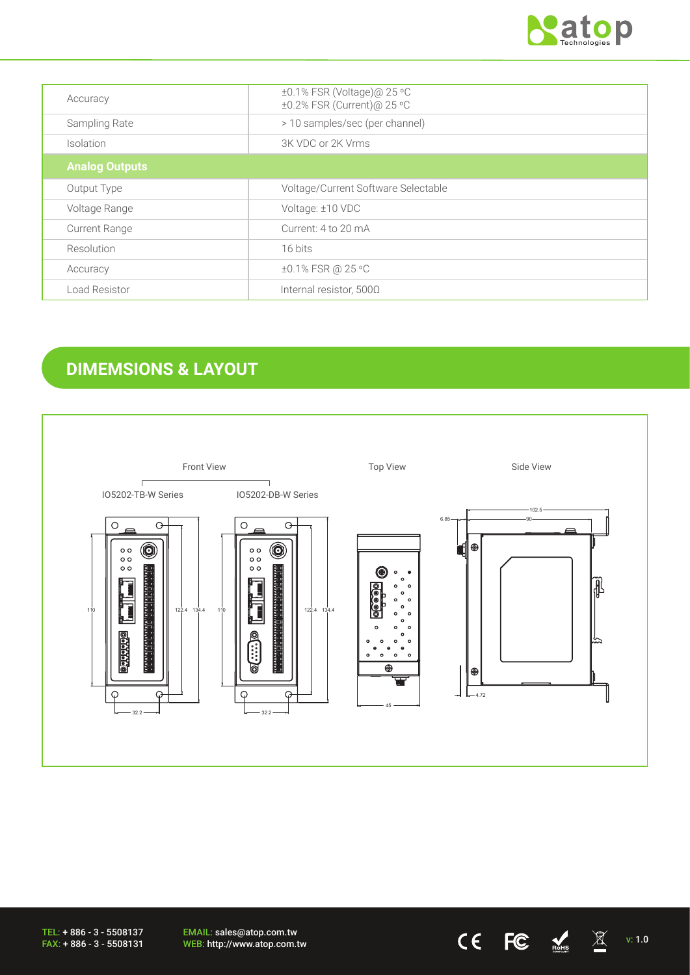

| Accuracy              | ±0.1% FSR (Voltage)@ 25 °C<br>±0.2% FSR (Current)@ 25 °C |
|-----------------------|----------------------------------------------------------|
| Sampling Rate         | > 10 samples/sec (per channel)                           |
| Isolation             | 3K VDC or 2K Vrms                                        |
| <b>Analog Outputs</b> |                                                          |
| Output Type           | Voltage/Current Software Selectable                      |
| Voltage Range         | Voltage: ±10 VDC                                         |
| <b>Current Range</b>  | Current: 4 to 20 mA                                      |
| Resolution            | 16 bits                                                  |
| Accuracy              | ±0.1% FSR @ 25 °C                                        |
| Load Resistor         | Internal resistor, 500Ω                                  |

# **DIMEMSIONS & LAYOUT**



TEL: + 886 - 3 - 5508137 FAX: + 886 - 3 - 5508131

EMAIL: sales@atop.com.tw EMAIL: sales@atop.com.tw<br>WEB: http://www.atop.com.tw  $\text{CE}$   $\text{EC}$   $\text{NC}$   $\text{N}$  v: 1.0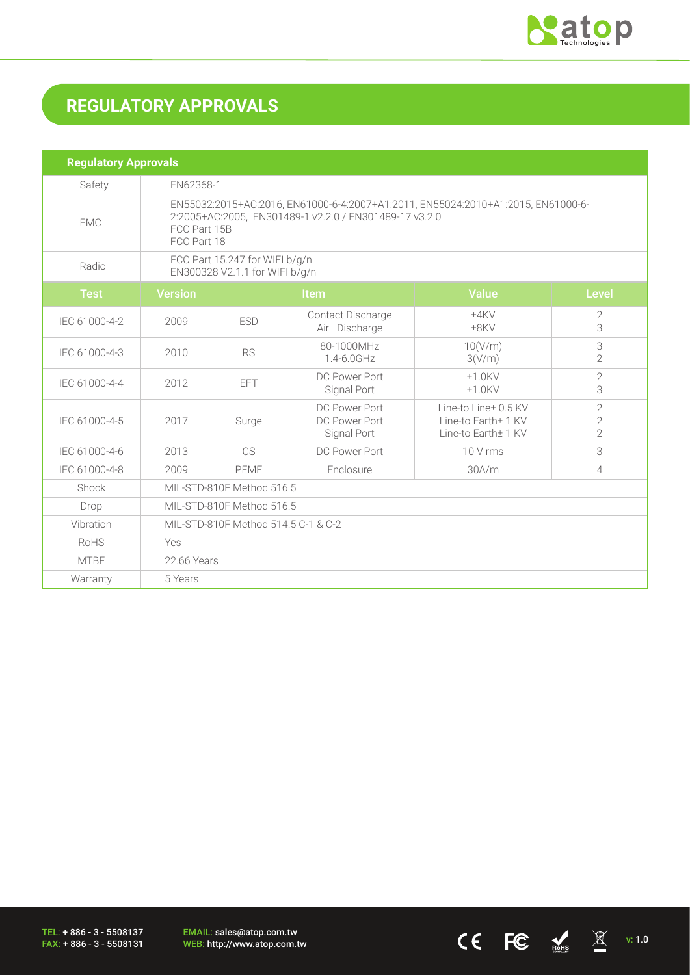

 $CE$  FC  $M \times 1.0$ 

# **REGULATORY APPROVALS**

| <b>Regulatory Approvals</b> |                                                                                                                                                                           |            |                                               |                                                                    |                                                    |  |
|-----------------------------|---------------------------------------------------------------------------------------------------------------------------------------------------------------------------|------------|-----------------------------------------------|--------------------------------------------------------------------|----------------------------------------------------|--|
| Safety                      | EN62368-1                                                                                                                                                                 |            |                                               |                                                                    |                                                    |  |
| <b>EMC</b>                  | EN55032:2015+AC:2016, EN61000-6-4:2007+A1:2011, EN55024:2010+A1:2015, EN61000-6-<br>2:2005+AC:2005, EN301489-1 v2.2.0 / EN301489-17 v3.2.0<br>FCC Part 15B<br>FCC Part 18 |            |                                               |                                                                    |                                                    |  |
| Radio                       | FCC Part 15.247 for WIFI b/g/n<br>EN300328 V2.1.1 for WIFI b/g/n                                                                                                          |            |                                               |                                                                    |                                                    |  |
| <b>Test</b>                 | <b>Version</b>                                                                                                                                                            |            | Item                                          | <b>Value</b>                                                       | <b>Level</b>                                       |  |
| IEC 61000-4-2               | 2009                                                                                                                                                                      | <b>ESD</b> | Contact Discharge<br>Air Discharge            | ±4KV<br>$±8$ KV                                                    | 2<br>3                                             |  |
| IEC 61000-4-3               | 2010                                                                                                                                                                      | <b>RS</b>  | 80-1000MHz<br>$1.4 - 6.0$ GHz                 | 10(V/m)<br>3(V/m)                                                  | 3<br>$\overline{2}$                                |  |
| IEC 61000-4-4               | 2012                                                                                                                                                                      | <b>EFT</b> | DC Power Port<br>Signal Port                  | $±1.0$ KV<br>$±1.0$ KV                                             | $\overline{2}$<br>3                                |  |
| IEC 61000-4-5               | 2017                                                                                                                                                                      | Surge      | DC Power Port<br>DC Power Port<br>Signal Port | Line-to Line+ 0.5 KV<br>Line-to Earth± 1 KV<br>Line-to Earth± 1 KV | $\overline{2}$<br>$\overline{2}$<br>$\overline{2}$ |  |
| IEC 61000-4-6               | 2013                                                                                                                                                                      | <b>CS</b>  | DC Power Port                                 | 10 V rms                                                           | 3                                                  |  |
| IEC 61000-4-8               | 2009                                                                                                                                                                      | PFMF       | Enclosure                                     | 30A/m                                                              | $\overline{4}$                                     |  |
| Shock                       | MIL-STD-810F Method 516.5                                                                                                                                                 |            |                                               |                                                                    |                                                    |  |
| Drop                        | MIL-STD-810F Method 516.5                                                                                                                                                 |            |                                               |                                                                    |                                                    |  |
| Vibration                   | MIL-STD-810F Method 514.5 C-1 & C-2                                                                                                                                       |            |                                               |                                                                    |                                                    |  |
| <b>RoHS</b>                 | Yes                                                                                                                                                                       |            |                                               |                                                                    |                                                    |  |
| <b>MTBF</b>                 | 22.66 Years                                                                                                                                                               |            |                                               |                                                                    |                                                    |  |
| Warranty                    | 5 Years                                                                                                                                                                   |            |                                               |                                                                    |                                                    |  |